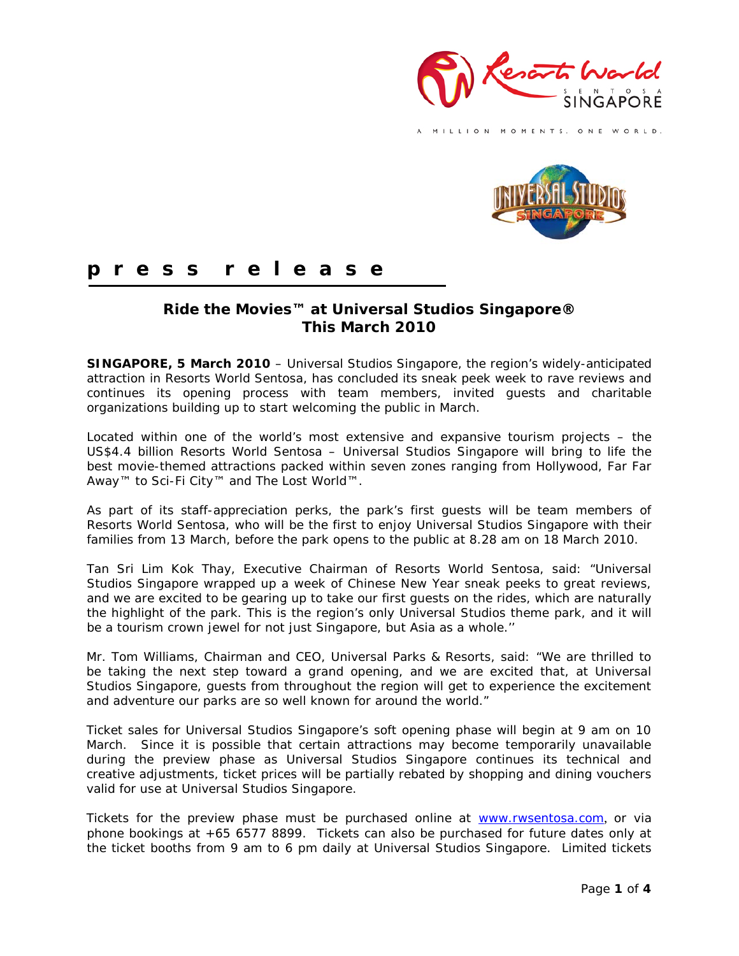

MILLION MOMENTS. ONE WORLD.



# **p r e s s r e l e a s e**

## **Ride the Movies™ at Universal Studios Singapore® This March 2010**

**SINGAPORE, 5 March 2010** – Universal Studios Singapore, the region's widely-anticipated attraction in Resorts World Sentosa, has concluded its sneak peek week to rave reviews and continues its opening process with team members, invited guests and charitable organizations building up to start welcoming the public in March.

Located within one of the world's most extensive and expansive tourism projects – the US\$4.4 billion Resorts World Sentosa – Universal Studios Singapore will bring to life the best movie-themed attractions packed within seven zones ranging from Hollywood, Far Far Away™ to Sci-Fi City™ and The Lost World™.

As part of its staff-appreciation perks, the park's first guests will be team members of Resorts World Sentosa, who will be the first to enjoy Universal Studios Singapore with their families from 13 March, before the park opens to the public at 8.28 am on 18 March 2010.

Tan Sri Lim Kok Thay, Executive Chairman of Resorts World Sentosa, said: "Universal Studios Singapore wrapped up a week of Chinese New Year sneak peeks to great reviews, and we are excited to be gearing up to take our first guests on the rides, which are naturally the highlight of the park. This is the region's only Universal Studios theme park, and it will be a tourism crown jewel for not just Singapore, but Asia as a whole.''

Mr. Tom Williams, Chairman and CEO, Universal Parks & Resorts, said: "We are thrilled to be taking the next step toward a grand opening, and we are excited that, at Universal Studios Singapore, guests from throughout the region will get to experience the excitement and adventure our parks are so well known for around the world."

Ticket sales for Universal Studios Singapore's soft opening phase will begin at 9 am on 10 March. Since it is possible that certain attractions may become temporarily unavailable during the preview phase as Universal Studios Singapore continues its technical and creative adjustments, ticket prices will be partially rebated by shopping and dining vouchers valid for use at Universal Studios Singapore.

Tickets for the preview phase must be purchased online at [www.rwsentosa.com](http://www.rwsentosa.com/), or via phone bookings at +65 6577 8899. Tickets can also be purchased for future dates only at the ticket booths from 9 am to 6 pm daily at Universal Studios Singapore. Limited tickets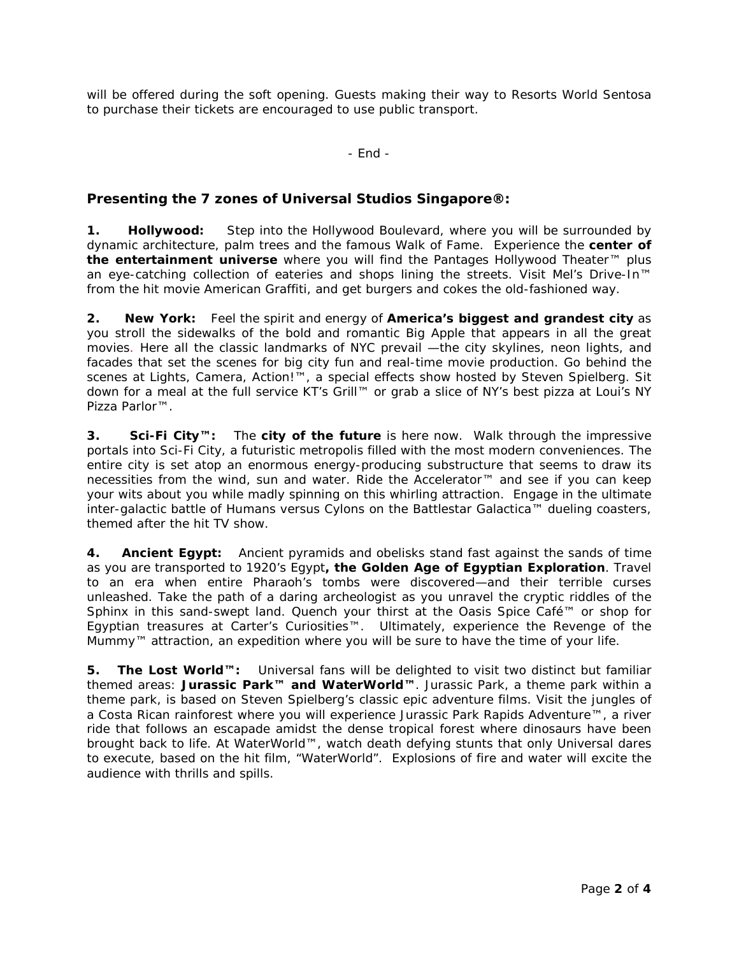will be offered during the soft opening. Guests making their way to Resorts World Sentosa to purchase their tickets are encouraged to use public transport.

- End -

### **Presenting the 7 zones of Universal Studios Singapore®:**

**1. Hollywood:** Step into the Hollywood Boulevard, where you will be surrounded by dynamic architecture, palm trees and the famous Walk of Fame. Experience the **center of the entertainment universe** where you will find the *Pantages Hollywood Theater*™ plus an eye-catching collection of eateries and shops lining the streets. Visit *Mel's Drive-In™* from the hit movie American Graffiti, and get burgers and cokes the old-fashioned way.

**2. New York:** Feel the spirit and energy of **America's biggest and grandest city** as you stroll the sidewalks of the bold and romantic Big Apple that appears in all the great movies. Here all the classic landmarks of NYC prevail —the city skylines, neon lights, and facades that set the scenes for big city fun and real-time movie production. Go behind the scenes at *Lights, Camera, Action!™*, a special effects show hosted by Steven Spielberg. Sit down for a meal at the full service *KT's Grill™* or grab a slice of NY's best pizza at *Loui's NY Pizza Parlor™*.

**3. Sci-Fi City™:** The **city of the future** is here now. Walk through the impressive portals into Sci-Fi City, a futuristic metropolis filled with the most modern conveniences. The entire city is set atop an enormous energy-producing substructure that seems to draw its necessities from the wind, sun and water. Ride the *Accelerator™* and see if you can keep your wits about you while madly spinning on this whirling attraction. Engage in the ultimate inter-galactic battle of Humans versus Cylons on the *Battlestar Galactica™* dueling coasters, themed after the hit TV show.

**4. Ancient Egypt:** Ancient pyramids and obelisks stand fast against the sands of time as you are transported to 1920's Egypt**, the Golden Age of Egyptian Exploration**. Travel to an era when entire Pharaoh's tombs were discovered—and their terrible curses unleashed. Take the path of a daring archeologist as you unravel the cryptic riddles of the Sphinx in this sand-swept land. Quench your thirst at the *Oasis Spice Café™* or shop for Egyptian treasures at *Carter's Curiosities™*. Ultimately, experience the *Revenge of the Mummy™ attraction*, an expedition where you will be sure to have the time of your life.

**5. The Lost World™:** Universal fans will be delighted to visit two distinct but familiar themed areas: **Jurassic Park™ and WaterWorld™**. Jurassic Park, a theme park within a theme park, is based on Steven Spielberg's classic epic adventure films. Visit the jungles of a Costa Rican rainforest where you will experience *Jurassic Park Rapids Adventure™*, a river ride that follows an escapade amidst the dense tropical forest where dinosaurs have been brought back to life. At WaterWorld*™*, watch death defying stunts that only Universal dares to execute, based on the hit film, "WaterWorld". Explosions of fire and water will excite the audience with thrills and spills.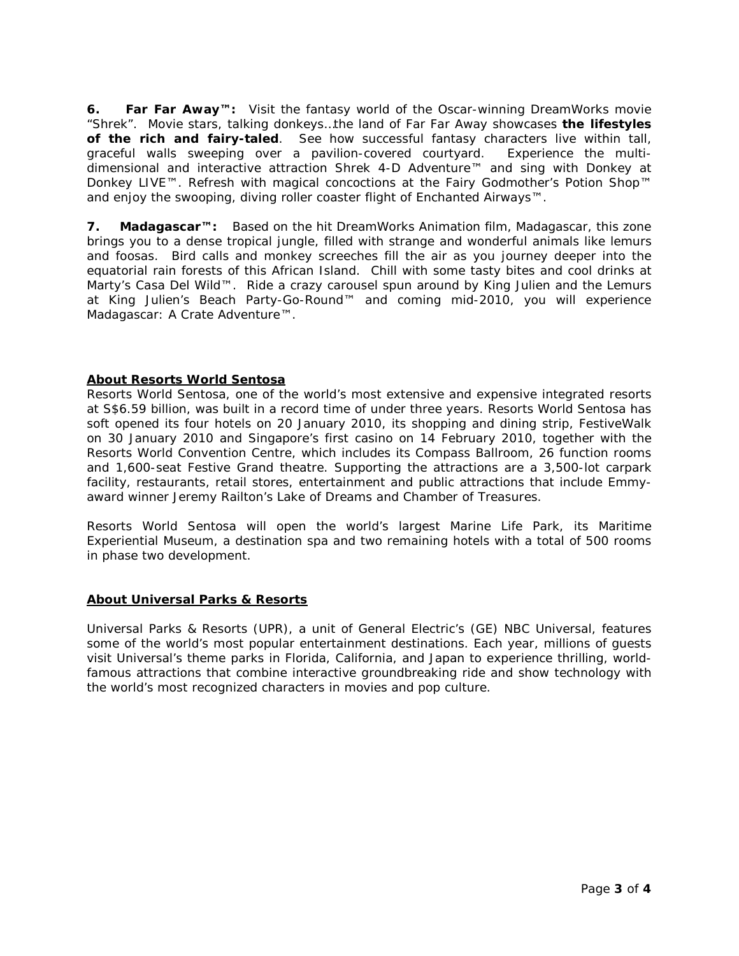**6. Far Far Away™:** Visit the fantasy world of the Oscar-winning DreamWorks movie "Shrek". Movie stars, talking donkeys…the land of Far Far Away showcases **the lifestyles of the rich and fairy-taled**. See how successful fantasy characters live within tall, graceful walls sweeping over a pavilion-covered courtyard. Experience the multidimensional and interactive attraction *Shrek 4-D Adventure™* and sing with Donkey at *Donkey LIVE™*. Refresh with magical concoctions at the *Fairy Godmother's Potion Shop™* and enjoy the swooping, diving roller coaster flight of *Enchanted Airways™*.

**7. Madagascar™:** Based on the hit DreamWorks Animation film, Madagascar, this zone brings you to a dense tropical jungle, filled with strange and wonderful animals like lemurs and foosas. Bird calls and monkey screeches fill the air as you journey deeper into the equatorial rain forests of this African Island. Chill with some tasty bites and cool drinks at Marty's *Casa Del Wild™*. Ride a crazy carousel spun around by King Julien and the Lemurs at *King Julien's Beach Party-Go-Round™* and coming mid-2010, you will experience *Madagascar: A Crate Adventure™*.

#### **About Resorts World Sentosa**

Resorts World Sentosa, one of the world's most extensive and expensive integrated resorts at S\$6.59 billion, was built in a record time of under three years. Resorts World Sentosa has soft opened its four hotels on 20 January 2010, its shopping and dining strip, FestiveWalk on 30 January 2010 and Singapore's first casino on 14 February 2010, together with the Resorts World Convention Centre, which includes its Compass Ballroom, 26 function rooms and 1,600-seat Festive Grand theatre. Supporting the attractions are a 3,500-lot carpark facility, restaurants, retail stores, entertainment and public attractions that include Emmyaward winner Jeremy Railton's Lake of Dreams and Chamber of Treasures.

Resorts World Sentosa will open the world's largest Marine Life Park, its Maritime Experiential Museum, a destination spa and two remaining hotels with a total of 500 rooms in phase two development.

#### **About Universal Parks & Resorts**

Universal Parks & Resorts (UPR), a unit of General Electric's (GE) NBC Universal, features some of the world's most popular entertainment destinations. Each year, millions of guests visit Universal's theme parks in Florida, California, and Japan to experience thrilling, worldfamous attractions that combine interactive groundbreaking ride and show technology with the world's most recognized characters in movies and pop culture.